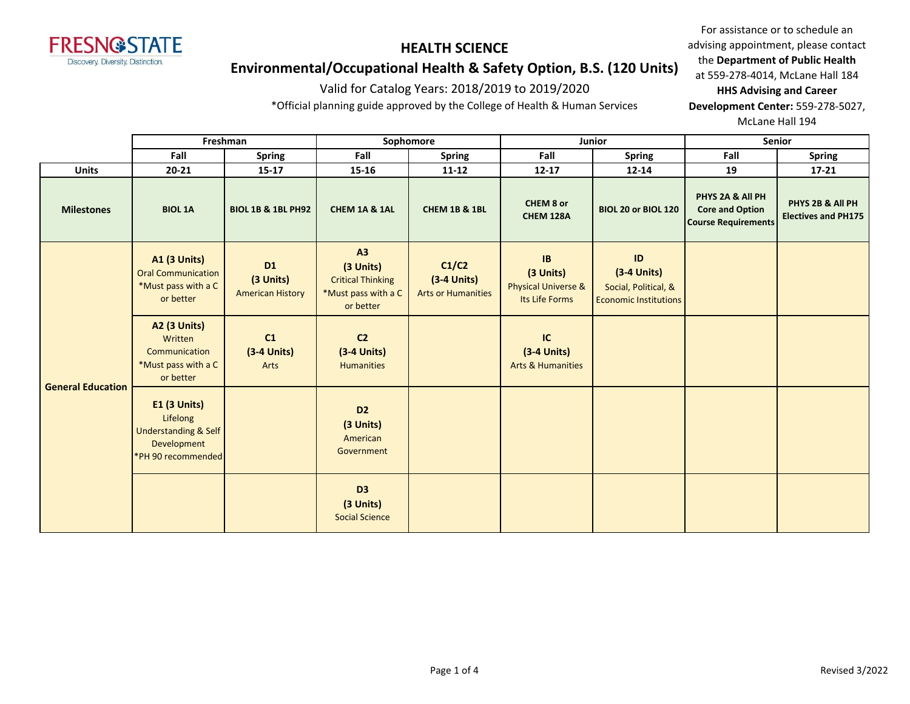

# **Environmental/Occupational Health & Safety Option, B.S. (120 Units)**

## Valid for Catalog Years: 2018/2019 to 2019/2020

\*Official planning guide approved by the College of Health & Human Services

For assistance or to schedule an advising appointment, please contact the **Department of Public Health** at 559-278-4014, McLane Hall 184 **HHS Advising and Career Development Center:** 559-278-5027,

McLane Hall 194

|                          | Freshman                                                                                           |                                                   | Sophomore                                                                       |                                                     | Junior                                                              |                                                                             | Senior                                                                   |                                                |
|--------------------------|----------------------------------------------------------------------------------------------------|---------------------------------------------------|---------------------------------------------------------------------------------|-----------------------------------------------------|---------------------------------------------------------------------|-----------------------------------------------------------------------------|--------------------------------------------------------------------------|------------------------------------------------|
|                          | Fall                                                                                               | <b>Spring</b>                                     | Fall                                                                            | <b>Spring</b>                                       | Fall                                                                | Spring                                                                      | Fall                                                                     | <b>Spring</b>                                  |
| <b>Units</b>             | $20 - 21$                                                                                          | $15 - 17$                                         | 15-16                                                                           | $11 - 12$                                           | $12 - 17$                                                           | $12 - 14$                                                                   | 19                                                                       | $17 - 21$                                      |
| <b>Milestones</b>        | <b>BIOL 1A</b>                                                                                     | <b>BIOL 1B &amp; 1BL PH92</b>                     | CHEM 1A & 1AL                                                                   | CHEM 1B & 1BL                                       | CHEM 8 or<br><b>CHEM 128A</b>                                       | BIOL 20 or BIOL 120                                                         | PHYS 2A & All PH<br><b>Core and Option</b><br><b>Course Requirements</b> | PHYS 2B & All PH<br><b>Electives and PH175</b> |
| <b>General Education</b> | <b>A1 (3 Units)</b><br><b>Oral Communication</b><br>*Must pass with a C<br>or better               | <b>D1</b><br>(3 Units)<br><b>American History</b> | A3<br>(3 Units)<br><b>Critical Thinking</b><br>*Must pass with a C<br>or better | C1/C2<br>$(3-4$ Units)<br><b>Arts or Humanities</b> | IB<br>(3 Units)<br><b>Physical Universe &amp;</b><br>Its Life Forms | ID<br>$(3-4$ Units)<br>Social, Political, &<br><b>Economic Institutions</b> |                                                                          |                                                |
|                          | <b>A2 (3 Units)</b><br>Written<br>Communication<br>*Must pass with a C<br>or better                | C1<br>$(3-4$ Units)<br>Arts                       | C <sub>2</sub><br>$(3-4$ Units)<br><b>Humanities</b>                            |                                                     | IC<br>$(3-4$ Units)<br><b>Arts &amp; Humanities</b>                 |                                                                             |                                                                          |                                                |
|                          | $E1$ (3 Units)<br>Lifelong<br><b>Understanding &amp; Self</b><br>Development<br>*PH 90 recommended |                                                   | D <sub>2</sub><br>(3 Units)<br>American<br>Government                           |                                                     |                                                                     |                                                                             |                                                                          |                                                |
|                          |                                                                                                    |                                                   | D <sub>3</sub><br>(3 Units)<br><b>Social Science</b>                            |                                                     |                                                                     |                                                                             |                                                                          |                                                |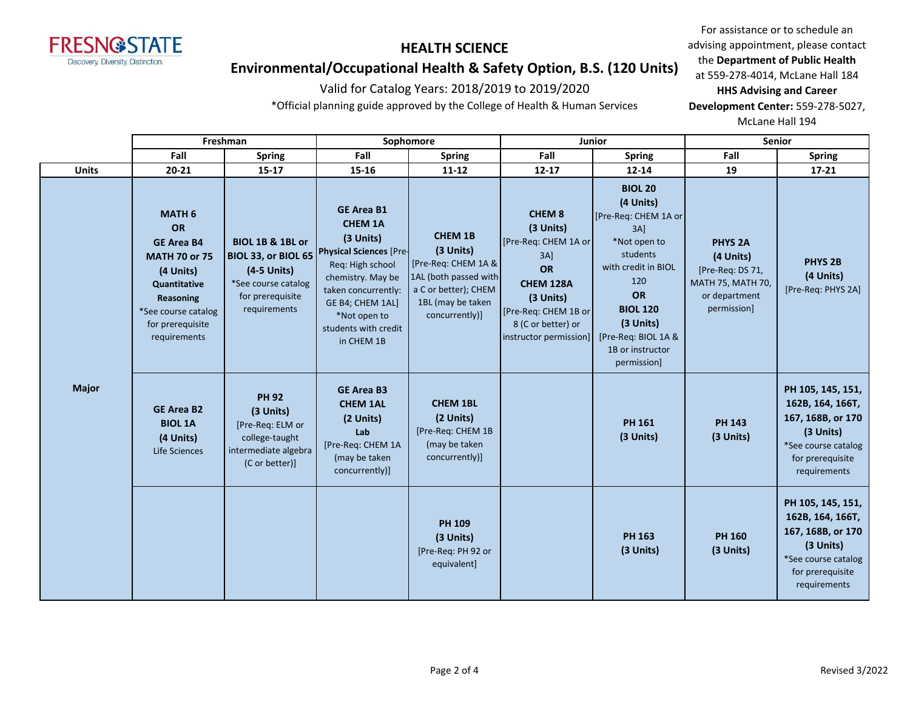

## **Environmental/Occupational Health & Safety Option, B.S. (120 Units)**

## Valid for Catalog Years: 2018/2019 to 2019/2020

\*Official planning guide approved by the College of Health & Human Services

For assistance or to schedule an advising appointment, please contact the **Department of Public Health** at 559-278-4014, McLane Hall 184 **HHS Advising and Career Development Center:** 559-278-5027, McLane Hall 194

**Fall Spring Fall Spring Fall Spring Fall Spring Units 20-21 15-17 15-16 11-12 12-17 12-14 19 17-21 Freshman Sophomore Junior Senior MATH 6 OR GE Area B4 MATH 70 or 75 (4 Units) Quantitative Reasoning** \*See course catalog for prerequisite requirements **BIOL 1B & 1BL or BIOL 33, or BIOL 65 (4-5 Units)**  \*See course catalog for prerequisite requirements **GE Area B1 CHEM 1A (3 Units) Physical Sciences** [Pre-Req: High school chemistry. May be taken concurrently: GE B4; CHEM 1AL] \*Not open to students with credit in CHEM 1B **CHEM 1B (3 Units)** [Pre-Req: CHEM 1A & 1AL (both passed with a C or better); CHEM 1BL (may be taken concurrently)] **CHEM 8 (3 Units)** [Pre-Req: CHEM 1A or 3A] **OR CHEM 128A (3 Units)** [Pre-Req: CHEM 1B or 8 (C or better) or instructor permission] **BIOL 20 (4 Units)** [Pre-Req: CHEM 1A or 3A] \*Not open to students with credit in BIOL 120 **OR BIOL 120 (3 Units)** [Pre-Req: BIOL 1A & 1B or instructor permission] **PHYS 2A (4 Units)** [Pre-Req: DS 71, MATH 75, MATH 70, or department permission] **PHYS 2B (4 Units)** [Pre-Req: PHYS 2A] **GE Area B2 BIOL 1A (4 Units)**  Life Sciences **PH 92 (3 Units)** [Pre-Req: ELM or college-taught intermediate algebra (C or better)] **GE Area B3 CHEM 1AL (2 Units) Lab** [Pre-Req: CHEM 1A (may be taken concurrently)] **CHEM 1BL (2 Units)** [Pre-Req: CHEM 1B (may be taken concurrently)] **PH 161 (3 Units) PH 143 (3 Units) PH 105, 145, 151, 162B, 164, 166T, 167, 168B, or 170 (3 Units)** \*See course catalog for prerequisite requirements **PH 109 (3 Units)** [Pre-Req: PH 92 or equivalent] **PH 163 (3 Units) PH 160 (3 Units) PH 105, 145, 151, 162B, 164, 166T, 167, 168B, or 170 (3 Units)** \*See course catalog for prerequisite requirements **Major**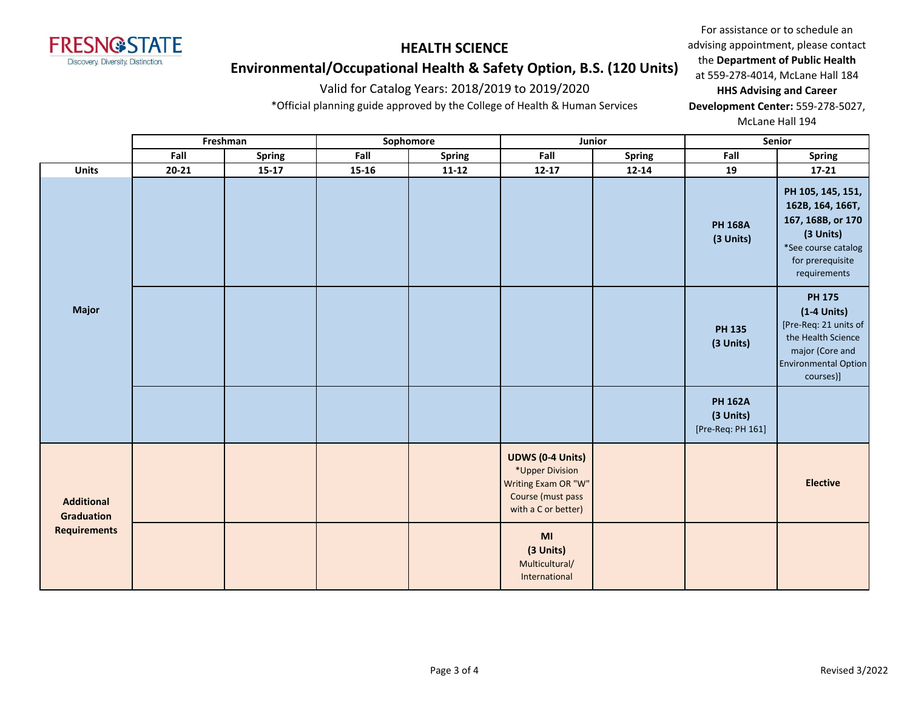

# **Environmental/Occupational Health & Safety Option, B.S. (120 Units)**

## Valid for Catalog Years: 2018/2019 to 2019/2020

\*Official planning guide approved by the College of Health & Human Services

For assistance or to schedule an advising appointment, please contact the **Department of Public Health** at 559-278-4014, McLane Hall 184 **HHS Advising and Career** 

**Development Center:** 559-278-5027, McLane Hall 194

|                                        |                     |           | Freshman      |           | Sophomore     |                                                                                                               | Junior                      | Senior                                                                                                                             |                                                                                                                                              |
|----------------------------------------|---------------------|-----------|---------------|-----------|---------------|---------------------------------------------------------------------------------------------------------------|-----------------------------|------------------------------------------------------------------------------------------------------------------------------------|----------------------------------------------------------------------------------------------------------------------------------------------|
|                                        |                     | Fall      | <b>Spring</b> | Fall      | <b>Spring</b> | Fall                                                                                                          | <b>Spring</b>               | Fall                                                                                                                               | <b>Spring</b>                                                                                                                                |
|                                        | <b>Units</b>        | $20 - 21$ | $15 - 17$     | $15 - 16$ | $11 - 12$     | $12 - 17$                                                                                                     | $12 - 14$                   | 19                                                                                                                                 | $17 - 21$                                                                                                                                    |
|                                        |                     |           |               |           |               |                                                                                                               | <b>PH 168A</b><br>(3 Units) | PH 105, 145, 151,<br>162B, 164, 166T,<br>167, 168B, or 170<br>(3 Units)<br>*See course catalog<br>for prerequisite<br>requirements |                                                                                                                                              |
|                                        | <b>Major</b>        |           |               |           |               |                                                                                                               |                             | <b>PH 135</b><br>(3 Units)                                                                                                         | <b>PH 175</b><br>$(1-4$ Units)<br>[Pre-Req: 21 units of<br>the Health Science<br>major (Core and<br><b>Environmental Option</b><br>courses)] |
|                                        |                     |           |               |           |               |                                                                                                               |                             | <b>PH 162A</b><br>(3 Units)<br>[Pre-Req: PH 161]                                                                                   |                                                                                                                                              |
| <b>Additional</b><br><b>Graduation</b> |                     |           |               |           |               | <b>UDWS (0-4 Units)</b><br>*Upper Division<br>Writing Exam OR "W"<br>Course (must pass<br>with a C or better) |                             |                                                                                                                                    | <b>Elective</b>                                                                                                                              |
|                                        | <b>Requirements</b> |           |               |           |               | MI<br>(3 Units)<br>Multicultural/<br>International                                                            |                             |                                                                                                                                    |                                                                                                                                              |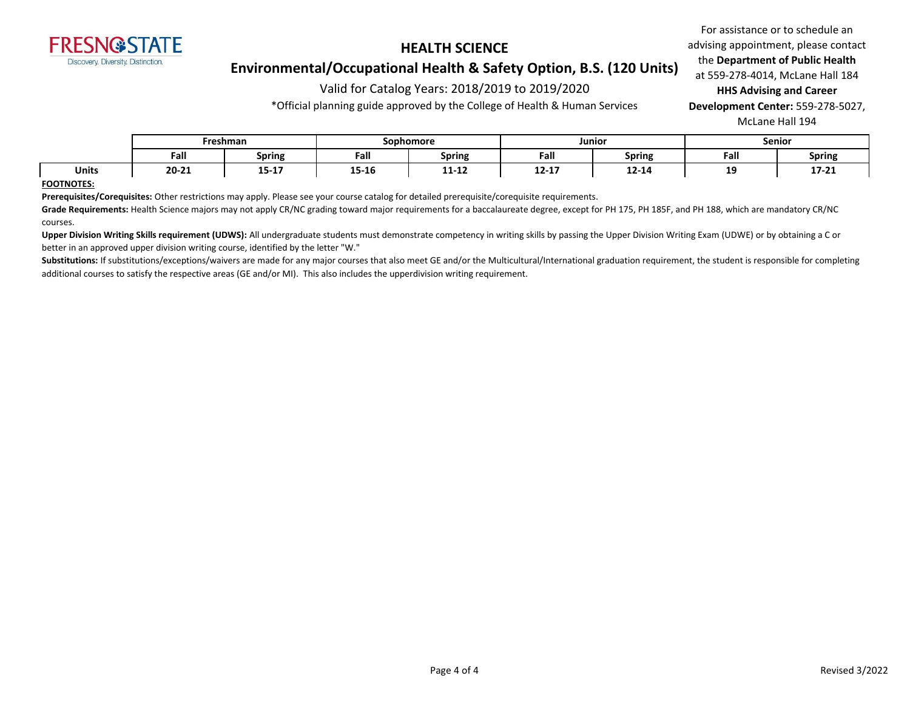

## **Environmental/Occupational Health & Safety Option, B.S. (120 Units)**

## Valid for Catalog Years: 2018/2019 to 2019/2020

\*Official planning guide approved by the College of Health & Human Services

For assistance or to schedule an advising appointment, please contact the **Department of Public Health** at 559-278-4014, McLane Hall 184 **HHS Advising and Career** 

**Development Center:** 559-278-5027, McLane Hall 194

|              | Freshman  |                      | Sophomore          |               | Junior                |               | Senior   |               |
|--------------|-----------|----------------------|--------------------|---------------|-----------------------|---------------|----------|---------------|
|              | Fall      | <b>Spring</b>        | Fall               | <b>Spring</b> | Fall                  | <b>Spring</b> | Fall     | <b>Spring</b> |
| <b>Units</b> | $20 - 21$ | 1 E     17<br>15-T V | 1.5.4.5<br>- סד-כד | 11-TT         | <b>13.13</b><br>12-17 | 12-14         | 19<br>-- | 17-21         |

#### **FOOTNOTES:**

**Prerequisites/Corequisites:** Other restrictions may apply. Please see your course catalog for detailed prerequisite/corequisite requirements.

Grade Requirements: Health Science majors may not apply CR/NC grading toward major requirements for a baccalaureate degree, except for PH 175, PH 185F, and PH 188, which are mandatory CR/NC courses.

Upper Division Writing Skills requirement (UDWS): All undergraduate students must demonstrate competency in writing skills by passing the Upper Division Writing Exam (UDWE) or by obtaining a C or better in an approved upper division writing course, identified by the letter "W."

Substitutions: If substitutions/exceptions/waivers are made for any major courses that also meet GE and/or the Multicultural/International graduation requirement, the student is responsible for completing additional courses to satisfy the respective areas (GE and/or MI). This also includes the upperdivision writing requirement.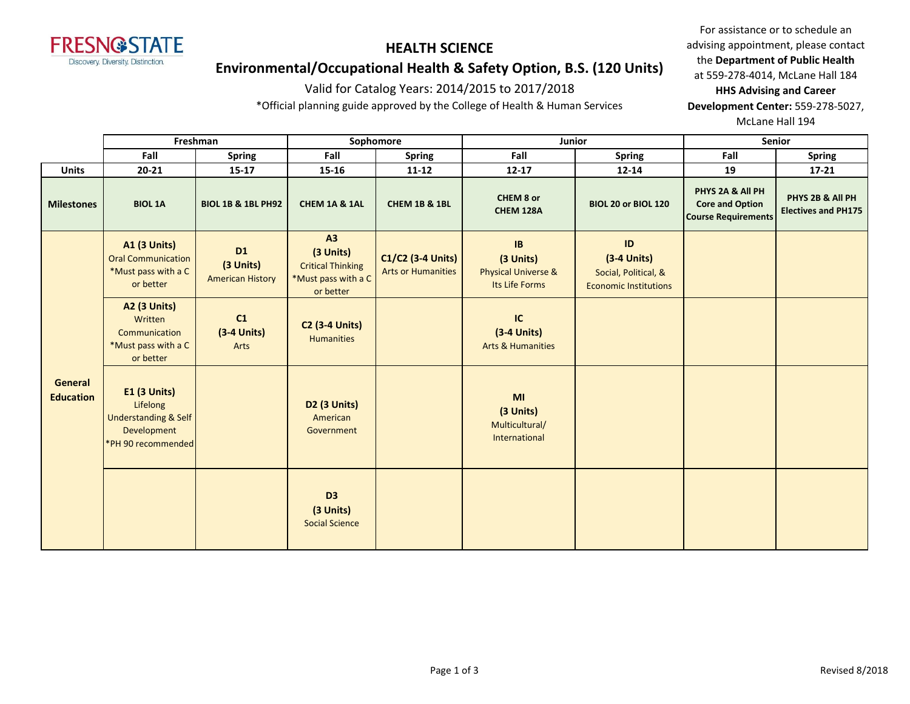

# **Environmental/Occupational Health & Safety Option, B.S. (120 Units)**

#### Valid for Catalog Years: 2014/2015 to 2017/2018

\*Official planning guide approved by the College of Health & Human Services

For assistance or to schedule an advising appointment, please contact the **Department of Public Health** at 559-278-4014, McLane Hall 184 **HHS Advising and Career** 

**Development Center:** 559-278-5027, McLane Hall 194

|                                    | Freshman                                                                                                |                                                   | Sophomore                                                                       |                                                | Junior                                                              |                                                                             | <b>Senior</b>                                                            |                                                |
|------------------------------------|---------------------------------------------------------------------------------------------------------|---------------------------------------------------|---------------------------------------------------------------------------------|------------------------------------------------|---------------------------------------------------------------------|-----------------------------------------------------------------------------|--------------------------------------------------------------------------|------------------------------------------------|
|                                    | Fall                                                                                                    | <b>Spring</b>                                     | Fall                                                                            | <b>Spring</b>                                  | Fall                                                                | <b>Spring</b>                                                               | Fall                                                                     | <b>Spring</b>                                  |
| <b>Units</b>                       | $20 - 21$                                                                                               | $15 - 17$                                         | 15-16                                                                           | $11 - 12$                                      | $12 - 17$                                                           | $12 - 14$                                                                   | 19                                                                       | $17 - 21$                                      |
| <b>Milestones</b>                  | <b>BIOL 1A</b>                                                                                          | <b>BIOL 1B &amp; 1BL PH92</b>                     | CHEM 1A & 1AL                                                                   | <b>CHEM 1B &amp; 1BL</b>                       | CHEM 8 or<br>CHEM 128A                                              | BIOL 20 or BIOL 120                                                         | PHYS 2A & All PH<br><b>Core and Option</b><br><b>Course Requirements</b> | PHYS 2B & All PH<br><b>Electives and PH175</b> |
|                                    | <b>A1 (3 Units)</b><br><b>Oral Communication</b><br>*Must pass with a C<br>or better                    | <b>D1</b><br>(3 Units)<br><b>American History</b> | A3<br>(3 Units)<br><b>Critical Thinking</b><br>*Must pass with a C<br>or better | C1/C2 (3-4 Units)<br><b>Arts or Humanities</b> | IB<br>(3 Units)<br><b>Physical Universe &amp;</b><br>Its Life Forms | ID<br>$(3-4$ Units)<br>Social, Political, &<br><b>Economic Institutions</b> |                                                                          |                                                |
| <b>General</b><br><b>Education</b> | <b>A2 (3 Units)</b><br>Written<br>Communication<br>*Must pass with a C<br>or better                     | C1<br>$(3-4$ Units)<br>Arts                       | <b>C2 (3-4 Units)</b><br><b>Humanities</b>                                      |                                                | IC<br>$(3-4$ Units)<br><b>Arts &amp; Humanities</b>                 |                                                                             |                                                                          |                                                |
|                                    | <b>E1 (3 Units)</b><br>Lifelong<br><b>Understanding &amp; Self</b><br>Development<br>*PH 90 recommended |                                                   | <b>D2 (3 Units)</b><br>American<br>Government                                   |                                                | MI<br>(3 Units)<br>Multicultural/<br>International                  |                                                                             |                                                                          |                                                |
|                                    |                                                                                                         |                                                   | D <sub>3</sub><br>(3 Units)<br><b>Social Science</b>                            |                                                |                                                                     |                                                                             |                                                                          |                                                |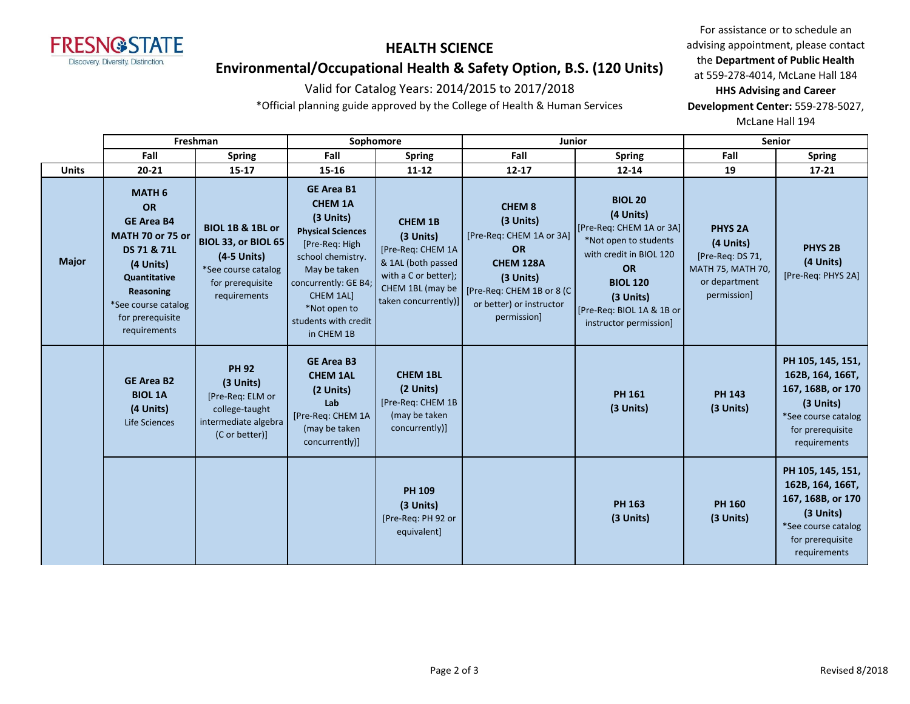

# **Environmental/Occupational Health & Safety Option, B.S. (120 Units)**

#### Valid for Catalog Years: 2014/2015 to 2017/2018

\*Official planning guide approved by the College of Health & Human Services

For assistance or to schedule an advising appointment, please contact the **Department of Public Health** at 559-278-4014, McLane Hall 184 **HHS Advising and Career Development Center:** 559-278-5027,

McLane Hall 194

|              | Freshman                                                                                                                                                                                |                                                                                                                   | Sophomore                                                                                                                                                                                                                      |                                                                                                                                            | Junior                                                                                                                                                                  |                                                                                                                                                                                                                   | <b>Senior</b>                                                                                               |                                                                                                                                    |
|--------------|-----------------------------------------------------------------------------------------------------------------------------------------------------------------------------------------|-------------------------------------------------------------------------------------------------------------------|--------------------------------------------------------------------------------------------------------------------------------------------------------------------------------------------------------------------------------|--------------------------------------------------------------------------------------------------------------------------------------------|-------------------------------------------------------------------------------------------------------------------------------------------------------------------------|-------------------------------------------------------------------------------------------------------------------------------------------------------------------------------------------------------------------|-------------------------------------------------------------------------------------------------------------|------------------------------------------------------------------------------------------------------------------------------------|
|              | Fall                                                                                                                                                                                    | <b>Spring</b>                                                                                                     | Fall                                                                                                                                                                                                                           | <b>Spring</b>                                                                                                                              | Fall                                                                                                                                                                    | <b>Spring</b>                                                                                                                                                                                                     | Fall                                                                                                        | <b>Spring</b>                                                                                                                      |
| <b>Units</b> | $20 - 21$                                                                                                                                                                               | $15 - 17$                                                                                                         | 15-16                                                                                                                                                                                                                          | $11 - 12$                                                                                                                                  | $12 - 17$                                                                                                                                                               | $12 - 14$                                                                                                                                                                                                         | 19                                                                                                          | $17 - 21$                                                                                                                          |
| <b>Major</b> | <b>MATH 6</b><br>OR<br><b>GE Area B4</b><br><b>MATH 70 or 75 or</b><br>DS 71 & 71L<br>(4 Units)<br>Quantitative<br>Reasoning<br>*See course catalog<br>for prerequisite<br>requirements | BIOL 1B & 1BL or<br>BIOL 33, or BIOL 65<br>(4-5 Units)<br>*See course catalog<br>for prerequisite<br>requirements | <b>GE Area B1</b><br><b>CHEM 1A</b><br>(3 Units)<br><b>Physical Sciences</b><br>[Pre-Req: High<br>school chemistry.<br>May be taken<br>concurrently: GE B4;<br>CHEM 1AL]<br>*Not open to<br>students with credit<br>in CHEM 1B | <b>CHEM 1B</b><br>(3 Units)<br>[Pre-Req: CHEM 1A<br>& 1AL (both passed<br>with a C or better);<br>CHEM 1BL (may be<br>taken concurrently)] | <b>CHEM 8</b><br>$(3$ Units)<br>[Pre-Req: CHEM 1A or 3A]<br><b>OR</b><br>CHEM 128A<br>(3 Units)<br>[Pre-Req: CHEM 1B or 8 (C<br>or better) or instructor<br>permission] | <b>BIOL 20</b><br>(4 Units)<br>[Pre-Req: CHEM 1A or 3A]<br>*Not open to students<br>with credit in BIOL 120<br><b>OR</b><br><b>BIOL 120</b><br>$(3$ Units)<br>[Pre-Req: BIOL 1A & 1B or<br>instructor permission] | <b>PHYS 2A</b><br>(4 Units)<br>[Pre-Req: DS 71,<br><b>MATH 75, MATH 70,</b><br>or department<br>permission] | PHYS <sub>2B</sub><br>(4 Units)<br>[Pre-Req: PHYS 2A]                                                                              |
|              | <b>GE Area B2</b><br><b>BIOL 1A</b><br>(4 Units)<br>Life Sciences                                                                                                                       | <b>PH 92</b><br>(3 Units)<br>[Pre-Req: ELM or<br>college-taught<br>intermediate algebra<br>(C or better)]         | <b>GE Area B3</b><br><b>CHEM 1AL</b><br>(2 Units)<br>Lab<br>[Pre-Req: CHEM 1A<br>(may be taken<br>concurrently)]                                                                                                               | <b>CHEM 1BL</b><br>(2 Units)<br>[Pre-Req: CHEM 1B<br>(may be taken<br>concurrently)]                                                       |                                                                                                                                                                         | <b>PH 161</b><br>(3 Units)                                                                                                                                                                                        | <b>PH 143</b><br>(3 Units)                                                                                  | PH 105, 145, 151,<br>162B, 164, 166T,<br>167, 168B, or 170<br>(3 Units)<br>*See course catalog<br>for prerequisite<br>requirements |
|              |                                                                                                                                                                                         |                                                                                                                   |                                                                                                                                                                                                                                | <b>PH 109</b><br>(3 Units)<br>[Pre-Req: PH 92 or<br>equivalent]                                                                            |                                                                                                                                                                         | <b>PH 163</b><br>(3 Units)                                                                                                                                                                                        | <b>PH 160</b><br>(3 Units)                                                                                  | PH 105, 145, 151,<br>162B, 164, 166T,<br>167, 168B, or 170<br>(3 Units)<br>*See course catalog<br>for prerequisite<br>requirements |